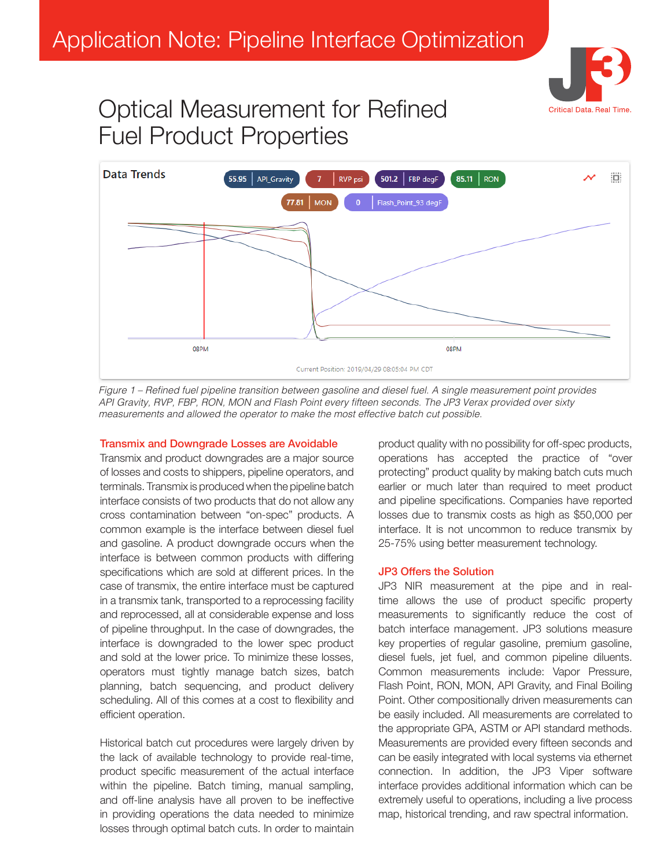

## Optical Measurement for Refined Fuel Product Properties



Figure 1 – Refined fuel pipeline transition between gasoline and diesel fuel. A single measurement point provides API Gravity, RVP, FBP, RON, MON and Flash Point every fifteen seconds. The JP3 Verax provided over sixty measurements and allowed the operator to make the most effective batch cut possible.

## Transmix and Downgrade Losses are Avoidable

Transmix and product downgrades are a major source of losses and costs to shippers, pipeline operators, and terminals. Transmix is produced when the pipeline batch interface consists of two products that do not allow any cross contamination between "on-spec" products. A common example is the interface between diesel fuel and gasoline. A product downgrade occurs when the interface is between common products with differing specifications which are sold at different prices. In the case of transmix, the entire interface must be captured in a transmix tank, transported to a reprocessing facility and reprocessed, all at considerable expense and loss of pipeline throughput. In the case of downgrades, the interface is downgraded to the lower spec product and sold at the lower price. To minimize these losses, operators must tightly manage batch sizes, batch planning, batch sequencing, and product delivery scheduling. All of this comes at a cost to flexibility and efficient operation.

Historical batch cut procedures were largely driven by the lack of available technology to provide real-time, product specific measurement of the actual interface within the pipeline. Batch timing, manual sampling, and off-line analysis have all proven to be ineffective in providing operations the data needed to minimize losses through optimal batch cuts. In order to maintain

product quality with no possibility for off-spec products, operations has accepted the practice of "over protecting" product quality by making batch cuts much earlier or much later than required to meet product and pipeline specifications. Companies have reported losses due to transmix costs as high as \$50,000 per interface. It is not uncommon to reduce transmix by 25-75% using better measurement technology.

## JP3 Offers the Solution

JP3 NIR measurement at the pipe and in realtime allows the use of product specific property measurements to significantly reduce the cost of batch interface management. JP3 solutions measure key properties of regular gasoline, premium gasoline, diesel fuels, jet fuel, and common pipeline diluents. Common measurements include: Vapor Pressure, Flash Point, RON, MON, API Gravity, and Final Boiling Point. Other compositionally driven measurements can be easily included. All measurements are correlated to the appropriate GPA, ASTM or API standard methods. Measurements are provided every fifteen seconds and can be easily integrated with local systems via ethernet connection. In addition, the JP3 Viper software interface provides additional information which can be extremely useful to operations, including a live process map, historical trending, and raw spectral information.